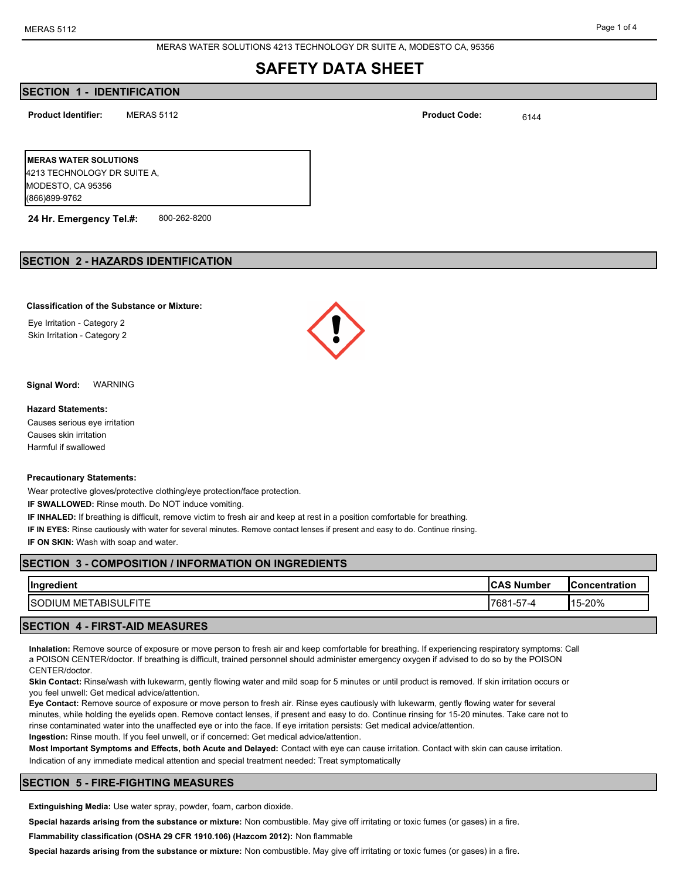MERAS WATER SOLUTIONS 4213 TECHNOLOGY DR SUITE A, MODESTO CA, 95356

## **SAFETY DATA SHEET**

## **SECTION 1 - IDENTIFICATION**

**Product Identifier: Product Code:**

MERAS 5112  $\blacksquare$ 

**MERAS WATER SOLUTIONS**  4213 TECHNOLOGY DR SUITE A, MODESTO, CA 95356 (866)899-9762

**24 Hr. Emergency Tel.#:** 800-262-8200

### **SECTION 2 - HAZARDS IDENTIFICATION**

#### **Classification of the Substance or Mixture:**

Eye Irritation - Category 2 Skin Irritation - Category 2



**Signal Word:** WARNING

#### **Hazard Statements:**

Causes serious eye irritation Causes skin irritation Harmful if swallowed

#### **Precautionary Statements:**

Wear protective gloves/protective clothing/eye protection/face protection.

**IF SWALLOWED:** Rinse mouth. Do NOT induce vomiting.

**IF INHALED:** If breathing is difficult, remove victim to fresh air and keep at rest in a position comfortable for breathing. **IF IN EYES:** Rinse cautiously with water for several minutes. Remove contact lenses if present and easy to do. Continue rinsing. **IF ON SKIN:** Wash with soap and water.

## **SECTION 3 - COMPOSITION / INFORMATION ON INGREDIENTS**

| Ingre<br>$\sim$<br>$-$ diame<br>יווסווי                | 10 A O N.<br>. V .<br>Number<br>ີ | <b>IConcentration</b> |
|--------------------------------------------------------|-----------------------------------|-----------------------|
| <b>ISOD</b><br>ABISUI <sup>.</sup><br>ME.<br>IUM<br>-- | $-$<br><b>1768</b><br>ے ،<br>ີ    | 15-20%                |

#### **SECTION 4 - FIRST-AID MEASURES**

**Inhalation:** Remove source of exposure or move person to fresh air and keep comfortable for breathing. If experiencing respiratory symptoms: Call a POISON CENTER/doctor. If breathing is difficult, trained personnel should administer emergency oxygen if advised to do so by the POISON CENTER/doctor.

**Skin Contact:** Rinse/wash with lukewarm, gently flowing water and mild soap for 5 minutes or until product is removed. If skin irritation occurs or you feel unwell: Get medical advice/attention.

**Eye Contact:** Remove source of exposure or move person to fresh air. Rinse eyes cautiously with lukewarm, gently flowing water for several minutes, while holding the eyelids open. Remove contact lenses, if present and easy to do. Continue rinsing for 15-20 minutes. Take care not to rinse contaminated water into the unaffected eye or into the face. If eye irritation persists: Get medical advice/attention. **Ingestion:** Rinse mouth. If you feel unwell, or if concerned: Get medical advice/attention.

**Most Important Symptoms and Effects, both Acute and Delayed:** Contact with eye can cause irritation. Contact with skin can cause irritation. Indication of any immediate medical attention and special treatment needed: Treat symptomatically

#### **SECTION 5 - FIRE-FIGHTING MEASURES**

**Extinguishing Media:** Use water spray, powder, foam, carbon dioxide.

**Special hazards arising from the substance or mixture:** Non combustible. May give off irritating or toxic fumes (or gases) in a fire.

**Flammability classification (OSHA 29 CFR 1910.106) (Hazcom 2012):** Non flammable

**Special hazards arising from the substance or mixture:** Non combustible. May give off irritating or toxic fumes (or gases) in a fire.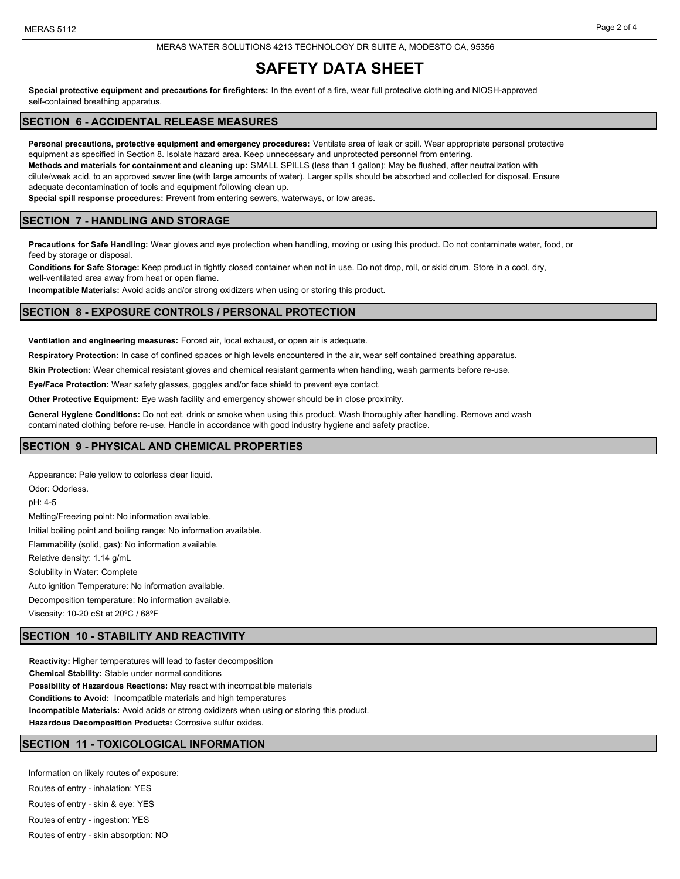#### MERAS WATER SOLUTIONS 4213 TECHNOLOGY DR SUITE A, MODESTO CA, 95356

# **SAFETY DATA SHEET**

**Special protective equipment and precautions for firefighters:** In the event of a fire, wear full protective clothing and NIOSH-approved self-contained breathing apparatus.

## **SECTION 6 - ACCIDENTAL RELEASE MEASURES**

**Personal precautions, protective equipment and emergency procedures:** Ventilate area of leak or spill. Wear appropriate personal protective equipment as specified in Section 8. Isolate hazard area. Keep unnecessary and unprotected personnel from entering.

**Methods and materials for containment and cleaning up:** SMALL SPILLS (less than 1 gallon): May be flushed, after neutralization with dilute/weak acid, to an approved sewer line (with large amounts of water). Larger spills should be absorbed and collected for disposal. Ensure adequate decontamination of tools and equipment following clean up.

**Special spill response procedures:** Prevent from entering sewers, waterways, or low areas.

#### **SECTION 7 - HANDLING AND STORAGE**

**Precautions for Safe Handling:** Wear gloves and eye protection when handling, moving or using this product. Do not contaminate water, food, or feed by storage or disposal.

**Conditions for Safe Storage:** Keep product in tightly closed container when not in use. Do not drop, roll, or skid drum. Store in a cool, dry, well-ventilated area away from heat or open flame.

**Incompatible Materials:** Avoid acids and/or strong oxidizers when using or storing this product.

#### **SECTION 8 - EXPOSURE CONTROLS / PERSONAL PROTECTION**

**Ventilation and engineering measures:** Forced air, local exhaust, or open air is adequate.

**Respiratory Protection:** In case of confined spaces or high levels encountered in the air, wear self contained breathing apparatus.

**Skin Protection:** Wear chemical resistant gloves and chemical resistant garments when handling, wash garments before re-use.

**Eye/Face Protection:** Wear safety glasses, goggles and/or face shield to prevent eye contact.

**Other Protective Equipment:** Eye wash facility and emergency shower should be in close proximity.

**General Hygiene Conditions:** Do not eat, drink or smoke when using this product. Wash thoroughly after handling. Remove and wash

contaminated clothing before re-use. Handle in accordance with good industry hygiene and safety practice.

#### **SECTION 9 - PHYSICAL AND CHEMICAL PROPERTIES**

Appearance: Pale yellow to colorless clear liquid. Odor: Odorless. pH: 4-5 Melting/Freezing point: No information available. Initial boiling point and boiling range: No information available. Flammability (solid, gas): No information available. Relative density: 1.14 g/mL Solubility in Water: Complete Auto ignition Temperature: No information available. Decomposition temperature: No information available. Viscosity: 10-20 cSt at 20ºC / 68ºF

## **SECTION 10 - STABILITY AND REACTIVITY**

**Reactivity:** Higher temperatures will lead to faster decomposition **Chemical Stability:** Stable under normal conditions **Possibility of Hazardous Reactions:** May react with incompatible materials **Conditions to Avoid:** Incompatible materials and high temperatures **Incompatible Materials:** Avoid acids or strong oxidizers when using or storing this product. **Hazardous Decomposition Products:** Corrosive sulfur oxides.

## **SECTION 11 - TOXICOLOGICAL INFORMATION**

Information on likely routes of exposure: Routes of entry - inhalation: YES Routes of entry - skin & eye: YES Routes of entry - ingestion: YES Routes of entry - skin absorption: NO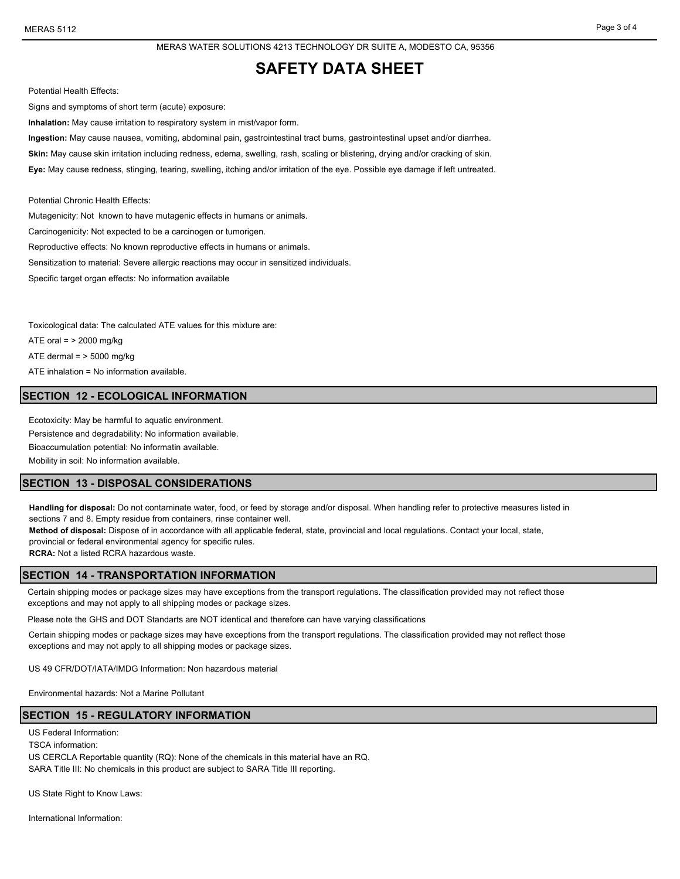MERAS WATER SOLUTIONS 4213 TECHNOLOGY DR SUITE A, MODESTO CA, 95356

## **SAFETY DATA SHEET**

Potential Health Effects:

Signs and symptoms of short term (acute) exposure:

**Inhalation:** May cause irritation to respiratory system in mist/vapor form.

**Ingestion:** May cause nausea, vomiting, abdominal pain, gastrointestinal tract burns, gastrointestinal upset and/or diarrhea.

Skin: May cause skin irritation including redness, edema, swelling, rash, scaling or blistering, drying and/or cracking of skin.

**Eye:** May cause redness, stinging, tearing, swelling, itching and/or irritation of the eye. Possible eye damage if left untreated.

Potential Chronic Health Effects:

Mutagenicity: Not known to have mutagenic effects in humans or animals.

Carcinogenicity: Not expected to be a carcinogen or tumorigen.

Reproductive effects: No known reproductive effects in humans or animals.

Sensitization to material: Severe allergic reactions may occur in sensitized individuals.

Specific target organ effects: No information available

Toxicological data: The calculated ATE values for this mixture are: ATE oral  $=$  > 2000 mg/kg ATE dermal  $=$  > 5000 mg/kg ATE inhalation = No information available.

#### **SECTION 12 - ECOLOGICAL INFORMATION**

Ecotoxicity: May be harmful to aquatic environment. Persistence and degradability: No information available. Bioaccumulation potential: No informatin available.

Mobility in soil: No information available.

#### **SECTION 13 - DISPOSAL CONSIDERATIONS**

**Handling for disposal:** Do not contaminate water, food, or feed by storage and/or disposal. When handling refer to protective measures listed in sections 7 and 8. Empty residue from containers, rinse container well.

**Method of disposal:** Dispose of in accordance with all applicable federal, state, provincial and local regulations. Contact your local, state, provincial or federal environmental agency for specific rules.

**RCRA:** Not a listed RCRA hazardous waste.

#### **SECTION 14 - TRANSPORTATION INFORMATION**

Certain shipping modes or package sizes may have exceptions from the transport regulations. The classification provided may not reflect those exceptions and may not apply to all shipping modes or package sizes.

Please note the GHS and DOT Standarts are NOT identical and therefore can have varying classifications

Certain shipping modes or package sizes may have exceptions from the transport regulations. The classification provided may not reflect those exceptions and may not apply to all shipping modes or package sizes.

US 49 CFR/DOT/IATA/IMDG Information: Non hazardous material

Environmental hazards: Not a Marine Pollutant

#### **SECTION 15 - REGULATORY INFORMATION**

US Federal Information:

TSCA information:

US CERCLA Reportable quantity (RQ): None of the chemicals in this material have an RQ. SARA Title III: No chemicals in this product are subject to SARA Title III reporting.

US State Right to Know Laws:

International Information: